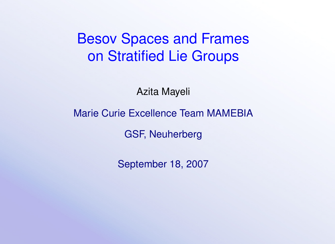# Besov Spaces and Frames on Stratified Lie Groups

Azita Mayeli

Marie Curie Excellence Team MAMEBIA

GSF, Neuherberg

September 18, 2007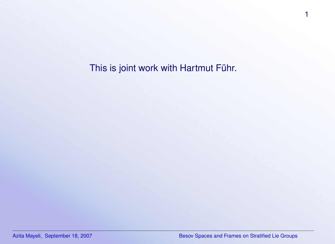This is joint work with Hartmut Führ.

1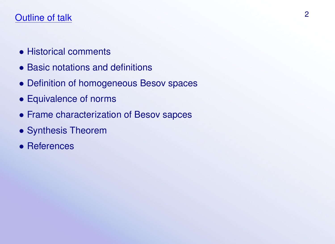# Outline of talk 2

- Historical comments
- Basic notations and definitions
- Definition of homogeneous Besov spaces
- Equivalence of norms
- Frame characterization of Besov sapces
- Synthesis Theorem
- References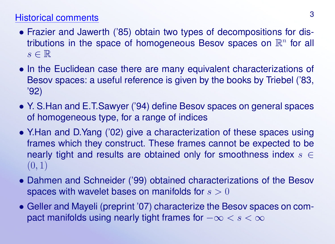# Historical comments <sup>3</sup>

- Frazier and Jawerth ('85) obtain two types of decompositions for distributions in the space of homogeneous Besov spaces on  $\mathbb{R}^n$  for all  $s \in \mathbb{R}$
- In the Euclidean case there are many equivalent characterizations of Besov spaces: a useful reference is given by the books by Triebel ('83, '92)
- Y. S.Han and E.T.Sawyer ('94) define Besov spaces on general spaces of homogeneous type, for a range of indices
- Y.Han and D.Yang ('02) give a characterization of these spaces using frames which they construct. These frames cannot be expected to be nearly tight and results are obtained only for smoothness index  $s \in$  $(0, 1)$
- Dahmen and Schneider ('99) obtained characterizations of the Besov spaces with wavelet bases on manifolds for  $s > 0$
- Geller and Mayeli (preprint '07) characterize the Besov spaces on compact manifolds using nearly tight frames for  $-\infty < s < \infty$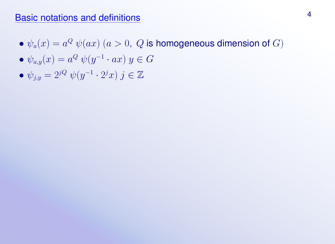### Basic notations and definitions <sup>4</sup>

- $\bullet$   $\psi_a(x) = a^Q \; \psi(ax) \; (a > 0, \; Q$  is homogeneous dimension of  $G)$
- $\bullet$   $\psi_{a,y}(x) = a^Q \psi(y^{-1} \cdot ax) y \in G$
- $\psi_{j,y} = 2^{jQ} \psi(y^{-1} \cdot 2^j x) j \in \mathbb{Z}$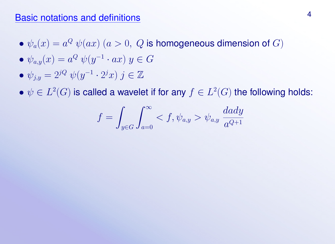### Basic notations and definitions 4 and  $\frac{4}{3}$

- $\bullet$   $\psi_a(x) = a^Q \; \psi(ax) \; (a > 0, \; Q$  is homogeneous dimension of  $G)$
- $\bullet$   $\psi_{a,y}(x) = a^Q \psi(y^{-1} \cdot ax) y \in G$
- $\psi_{j,y} = 2^{jQ} \psi(y^{-1} \cdot 2^j x) j \in \mathbb{Z}$

 $\bullet \; \psi \in L^2(G)$  is called a wavelet if for any  $f \in L^2(G)$  the following holds:

$$
f = \int_{y \in G} \int_{a=0}^{\infty} \langle f, \psi_{a,y} \rangle \psi_{a,y} \frac{da dy}{a^{Q+1}}
$$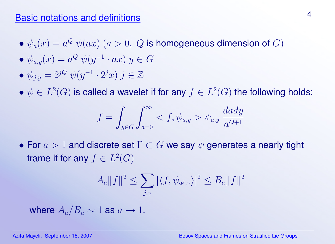### Basic notations and definitions <sup>4</sup>

- $\bullet$   $\psi_a(x) = a^Q \; \psi(ax) \; (a > 0, \; Q$  is homogeneous dimension of  $G)$
- $\bullet$   $\psi_{a,y}(x) = a^Q \psi(y^{-1} \cdot ax) y \in G$
- $\psi_{j,y} = 2^{jQ} \psi(y^{-1} \cdot 2^j x) j \in \mathbb{Z}$

 $\bullet \; \psi \in L^2(G)$  is called a wavelet if for any  $f \in L^2(G)$  the following holds:

$$
f = \int_{y \in G} \int_{a=0}^{\infty} \langle f, \psi_{a,y} \rangle \psi_{a,y} \frac{dxdy}{a^{Q+1}}
$$

• For  $a > 1$  and discrete set  $\Gamma \subset G$  we say  $\psi$  generates a nearly tight frame if for any  $f \in L^2(G)$ 

$$
A_a||f||^2 \le \sum_{j,\gamma} |\langle f, \psi_{a^j,\gamma} \rangle|^2 \le B_a||f||^2
$$

where  $A_a/B_a \sim 1$  as  $a \to 1$ .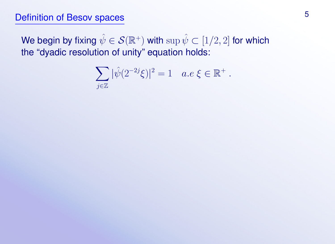# Definition of Besov spaces 5

We begin by fixing  $\hat\psi\in\mathcal{S}(\mathbb{R}^+)$  with  $\sup\hat\psi\subset[1/2,2]$  for which the "dyadic resolution of unity" equation holds:

$$
\sum_{j\in\mathbb{Z}} |\hat{\psi}(2^{-2j}\xi)|^2 = 1 \quad a.e \ \xi \in \mathbb{R}^+ \ .
$$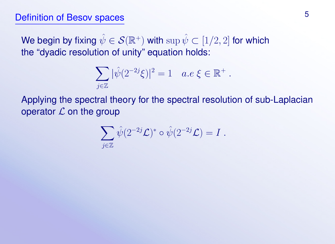# Definition of Besov spaces 5

We begin by fixing  $\hat\psi\in\mathcal{S}(\mathbb{R}^+)$  with  $\sup\hat\psi\subset[1/2,2]$  for which the "dyadic resolution of unity" equation holds:

$$
\sum_{j\in\mathbb{Z}} |\hat{\psi}(2^{-2j}\xi)|^2 = 1 \quad a.e \ \xi \in \mathbb{R}^+ \ .
$$

Applying the spectral theory for the spectral resolution of sub-Laplacian operator  $\mathcal L$  on the group

$$
\sum_{j\in\mathbb{Z}} \hat{\psi}(2^{-2j}\mathcal{L})^* \circ \hat{\psi}(2^{-2j}\mathcal{L}) = I.
$$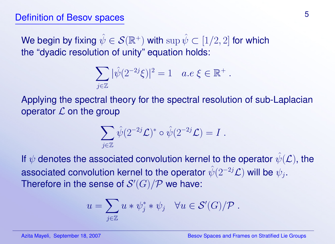# Definition of Besov spaces 5

We begin by fixing  $\hat\psi\in\mathcal{S}(\mathbb{R}^+)$  with  $\sup\hat\psi\subset[1/2,2]$  for which the "dyadic resolution of unity" equation holds:

$$
\sum_{j\in\mathbb{Z}} |\hat{\psi}(2^{-2j}\xi)|^2 = 1 \quad a.e \ \xi \in \mathbb{R}^+.
$$

Applying the spectral theory for the spectral resolution of sub-Laplacian operator  $\mathcal L$  on the group

$$
\sum_{j\in\mathbb{Z}} \hat{\psi}(2^{-2j}\mathcal{L})^*\circ \hat{\psi}(2^{-2j}\mathcal{L})=I.
$$

If  $\psi$  denotes the associated convolution kernel to the operator  $\hat{\psi}(\mathcal{L})$ , the associated convolution kernel to the operator  $\hat\psi(2^{-2j}\mathcal{L})$  will be  $\psi_j.$ Therefore in the sense of  $\mathcal{S}'(G)/\mathcal{P}$  we have:

$$
u = \sum_{j \in \mathbb{Z}} u * \psi_j^* * \psi_j \quad \forall u \in \mathcal{S}'(G)/\mathcal{P} .
$$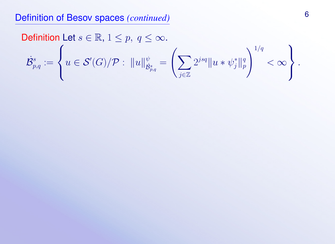# Definition of Besov spaces *(continued)* <sup>6</sup>

**Definition Let** 
$$
s \in \mathbb{R}
$$
,  $1 \le p$ ,  $q \le \infty$ .  
\n
$$
\dot{\mathcal{B}}_{p,q}^s := \left\{ u \in \mathcal{S}'(G)/\mathcal{P} : ||u||_{\dot{\mathcal{B}}_{p,q}^s}^{\psi} = \left( \sum_{j \in \mathbb{Z}} 2^{jsq} ||u * \psi_j^*||_p^q \right)^{1/q} < \infty \right\}.
$$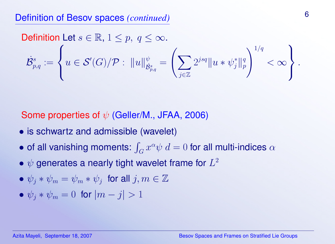**Definition Let** 
$$
s \in \mathbb{R}
$$
,  $1 \le p$ ,  $q \le \infty$ .  
\n
$$
\dot{\mathcal{B}}_{p,q}^s := \left\{ u \in \mathcal{S}'(G)/\mathcal{P} : ||u||_{\dot{\mathcal{B}}_{p,q}^s}^{\psi} = \left( \sum_{j \in \mathbb{Z}} 2^{jsq} ||u * \psi_j^*||_p^q \right)^{1/q} < \infty \right\}.
$$

Some properties of  $\psi$  (Geller/M., JFAA, 2006)

- is schwartz and admissible (wavelet)
- $\bullet$  of all vanishing moments:  $\int_G x^\alpha \psi \ d = 0$  for all multi-indices  $\alpha$
- $\bullet$   $\psi$  generates a nearly tight wavelet frame for  $L^2$
- $\bullet \psi_j * \psi_m = \psi_m * \psi_j$  for all  $j, m \in \mathbb{Z}$
- $\psi_i * \psi_m = 0$  for  $|m j| > 1$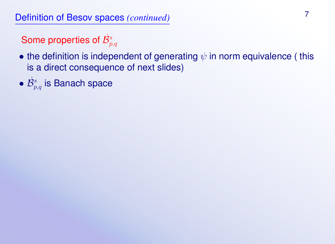Some properties of  $\dot{\mathcal{B}}^s_{p,q}$ 

- the definition is independent of generating  $\psi$  in norm equivalence (this is a direct consequence of next slides)
- $\bullet$   $\dot{\mathcal{B}}^s_{p,q}$  is Banach space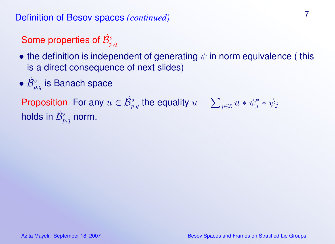Some properties of  $\dot{\mathcal{B}}^s_{p,q}$ 

- the definition is independent of generating  $\psi$  in norm equivalence (this is a direct consequence of next slides)
- $\bullet$   $\dot{\mathcal{B}}^s_{p,q}$  is Banach space

Proposition For any  $u \in \dot{\mathcal{B}}_{p,q}^s$  the equality  $u = \sum_{j \in \mathbb{Z}} u * \psi_j^* * \psi_j$ holds in  $\dot{\mathcal{B}}^s_{p,q}$  norm.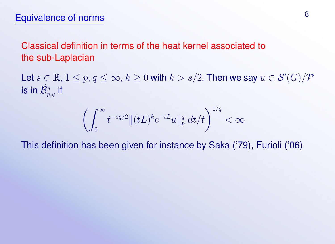Classical definition in terms of the heat kernel associated to the sub-Laplacian

Let  $s\in\mathbb{R}$ ,  $1\leq p,q\leq\infty$ ,  $k\geq 0$  with  $k>s/2$ . Then we say  $u\in \mathcal{S}'(G)/\mathcal{P}$ is in  $\dot{\mathcal{B}}^s_{p,q}$  if

$$
\left(\int_0^\infty t^{-sq/2} \|(tL)^k e^{-tL}u\|_p^q \ dt/t\right)^{1/q} < \infty
$$

This definition has been given for instance by Saka ('79), Furioli ('06)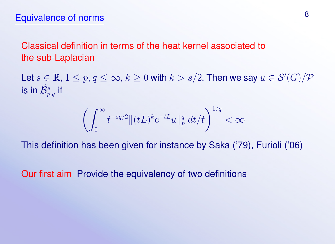Classical definition in terms of the heat kernel associated to the sub-Laplacian

Let  $s\in\mathbb{R}$ ,  $1\leq p,q\leq\infty$ ,  $k\geq 0$  with  $k>s/2$ . Then we say  $u\in \mathcal{S}'(G)/\mathcal{P}$ is in  $\dot{\mathcal{B}}^s_{p,q}$  if

$$
\left(\int_0^\infty t^{-sq/2} \|(tL)^k e^{-tL}u\|_p^q \ dt/t\right)^{1/q} < \infty
$$

This definition has been given for instance by Saka ('79), Furioli ('06)

Our first aim Provide the equivalency of two definitions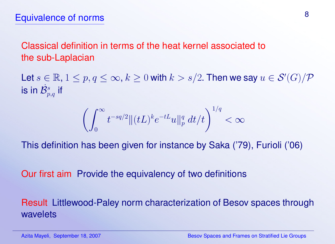Classical definition in terms of the heat kernel associated to the sub-Laplacian

Let  $s\in\mathbb{R}$ ,  $1\leq p,q\leq\infty$ ,  $k\geq 0$  with  $k>s/2$ . Then we say  $u\in \mathcal{S}'(G)/\mathcal{P}$ is in  $\dot{\mathcal{B}}^s_{p,q}$  if

$$
\left(\int_0^\infty t^{-sq/2} \|(tL)^k e^{-tL}u\|_p^q \ dt/t\right)^{1/q} < \infty
$$

This definition has been given for instance by Saka ('79), Furioli ('06)

Our first aim Provide the equivalency of two definitions

Result Littlewood-Paley norm characterization of Besov spaces through wavelets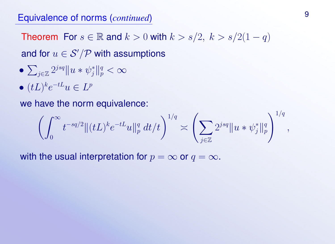Theorem For  $s \in \mathbb{R}$  and  $k > 0$  with  $k > s/2$ ,  $k > s/2(1-q)$ and for  $u \in \mathcal{S}'/\mathcal{P}$  with assumptions

- $\bullet$   $\sum_{j\in \mathbb{Z}}2^{jsq}\Vert u*\psi_{j}^{*}\Vert_{p}^{q}<\infty$
- $\bullet$   $(tL)^{k}e^{-tL}u \in L^{p}$

we have the norm equivalence:

$$
\left(\int_0^\infty t^{-sq/2} \|(tL)^k e^{-tL} u\|_p^q \ dt/t\right)^{1/q} \asymp \left(\sum_{j\in\mathbb{Z}} 2^{jsq} \|u*\psi_j^*\|_p^q\right)^{1/q},
$$

with the usual interpretation for  $p = \infty$  or  $q = \infty$ .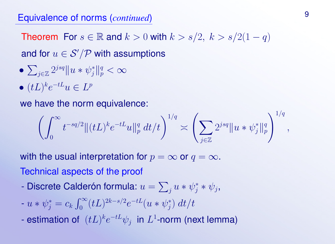Theorem For  $s \in \mathbb{R}$  and  $k > 0$  with  $k > s/2$ ,  $k > s/2(1-q)$ and for  $u \in \mathcal{S}'/\mathcal{P}$  with assumptions

- $\bullet$   $\sum_{j\in \mathbb{Z}}2^{jsq}\Vert u*\psi_{j}^{*}\Vert_{p}^{q}<\infty$
- $\bullet$   $(tL)^{k}e^{-tL}u \in L^{p}$

we have the norm equivalence:

$$
\left(\int_0^\infty t^{-sq/2} \|(tL)^k e^{-tL} u\|_p^q \ dt/t\right)^{1/q} \asymp \left(\sum_{j\in\mathbb{Z}} 2^{jsq} \|u*\psi_j^*\|_p^q\right)^{1/q},
$$

with the usual interpretation for  $p = \infty$  or  $q = \infty$ . Technical aspects of the proof

- Discrete Calderón formula:  $u = \sum_j u * \psi_j^* * \psi_j,$
- $-u * \psi_j^* = c_k \int_0^\infty (tL)^{2k s/2} e^{-tL} (u * \psi_j^*)$  $j^{\ast })\ dt/t$
- estimation of  $(tL)^{k}e^{-tL}\psi_{j}$  in  $L^{1}$ -norm (next lemma)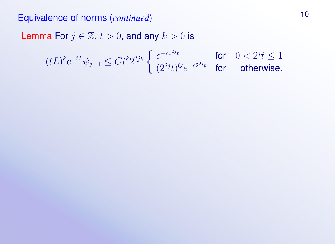Lemma For  $j \in \mathbb{Z}$ ,  $t > 0$ , and any  $k > 0$  is

$$
\|(tL)^k e^{-tL}\psi_j\|_1 \leq Ct^k 2^{2jk} \left\{ \begin{array}{lcl} e^{-c2^{2j}t} & \text{for} & 0<2^jt \leq 1 \\ (2^{2j}t)^Q e^{-c2^{2j}t} & \text{for} & \text{otherwise.} \end{array} \right.
$$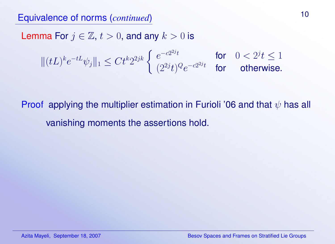Lemma For  $j \in \mathbb{Z}$ ,  $t > 0$ , and any  $k > 0$  is

$$
\|(tL)^k e^{-tL}\psi_j\|_1 \le Ct^k 2^{2jk} \begin{cases} e^{-c2^{2jt}} & \text{for} \quad 0 < 2^jt \le 1\\ (2^{2jt})^Q e^{-c2^{2jt}} & \text{for} \quad \text{otherwise.} \end{cases}
$$

Proof applying the multiplier estimation in Furioli '06 and that  $\psi$  has all vanishing moments the assertions hold.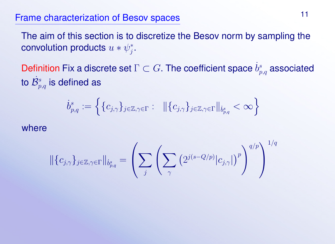## Frame characterization of Besov spaces 11

The aim of this section is to discretize the Besov norm by sampling the convolution products  $u * \psi_i^*$  $j^*$ 

Definition Fix a discrete set  $\Gamma\subset G.$  The coefficient space  $\dot{b}^s_{p,q}$  associated to  $\dot{\mathcal{B}}^s_{p,q}$  is defined as

$$
\dot{b}^{s}_{p,q}:=\Big\{\{c_{j,\gamma}\}_{j\in\mathbb{Z},\gamma\in\Gamma}: \hspace{0.2cm} \|(c_{j,\gamma}\}_{j\in\mathbb{Z},\gamma\in\Gamma}\|_{\dot{b}^{s}_{p,q}}<\infty\Big\}
$$

where

$$
\|\{c_{j,\gamma}\}_{j\in\mathbb{Z},\gamma\in\Gamma}\|_{\dot{b}_{p,q}^s}=\left(\sum_j\left(\sum_{\gamma}\left(2^{j(s-Q/p)}|c_{j,\gamma}|\right)^p\right)^{q/p}\right)^{1/q}
$$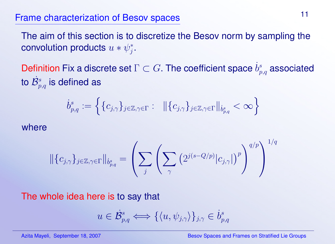# Frame characterization of Besov spaces <sup>11</sup>

The aim of this section is to discretize the Besov norm by sampling the convolution products  $u * \psi_i^*$  $j^*$ 

Definition Fix a discrete set  $\Gamma\subset G.$  The coefficient space  $\dot{b}^s_{p,q}$  associated to  $\dot{\mathcal{B}}^s_{p,q}$  is defined as

$$
\dot{b}^{s}_{p,q}:=\Big\{\{c_{j,\gamma}\}_{j\in\mathbb{Z},\gamma\in\Gamma}: \hspace{0.2cm} \|(c_{j,\gamma}\}_{j\in\mathbb{Z},\gamma\in\Gamma}\|_{\dot{b}^{s}_{p,q}}<\infty\Big\}
$$

where

$$
\|\{c_{j,\gamma}\}_{j\in\mathbb{Z},\gamma\in\Gamma}\|_{\dot{b}_{p,q}^s}=\left(\sum_j\left(\sum_{\gamma}\left(2^{j(s-Q/p)}|c_{j,\gamma}|\right)^p\right)^{q/p}\right)^{1/q}
$$

The whole idea here is to say that

$$
u\in \dot{\mathcal{B}}^s_{p,q} \Longleftrightarrow \{\langle u, \psi_{j,\gamma}\rangle\}_{j,\gamma}\in \dot{b}^s_{p,q}
$$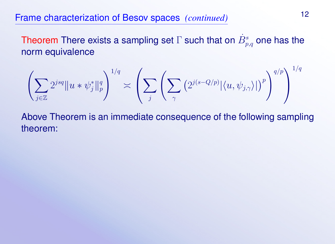## Frame characterization of Besov spaces *(continued)* <sup>12</sup>

Theorem There exists a sampling set  $\Gamma$  such that on  $\dot{B}^s_{p,q}$  one has the norm equivalence

$$
\left(\sum_{j\in\mathbb{Z}}2^{jsq}\|u*\psi_j^*\|_p^q\right)^{1/q}\asymp \left(\sum_j\left(\sum_{\gamma}\left(2^{j(s-Q/p)}|\langle u,\psi_{j,\gamma}\rangle|\right)^p\right)^{q/p}\right)^{1/q}
$$

Above Theorem is an immediate consequence of the following sampling theorem: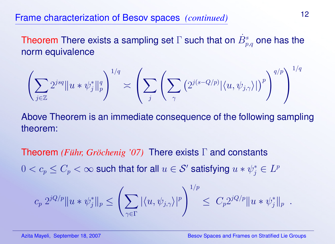# Frame characterization of Besov spaces *(continued)* <sup>12</sup>

Theorem There exists a sampling set  $\Gamma$  such that on  $\dot{B}^s_{p,q}$  one has the norm equivalence

$$
\left(\sum_{j\in\mathbb{Z}}2^{jsq}\|u*\psi_j^*\|_p^q\right)^{1/q}\asymp \left(\sum_j\left(\sum_{\gamma}\left(2^{j(s-Q/p)}|\langle u,\psi_{j,\gamma}\rangle|\right)^p\right)^{q/p}\right)^{1/q}
$$

Above Theorem is an immediate consequence of the following sampling theorem:

**Theorem** *(Führ, Gröchenig '07)* There exists Γ and constants  $0 < c_p \leq C_p < \infty$  such that for all  $u \in \mathcal{S}'$  satisfying  $u \ast \psi_j^* \in L^p$ 

$$
c_p 2^{jQ/p} \|u * \psi_j^*\|_p \le \left(\sum_{\gamma \in \Gamma} |\langle u, \psi_{j,\gamma} \rangle|^p \right)^{1/p} \le C_p 2^{jQ/p} \|u * \psi_j^*\|_p.
$$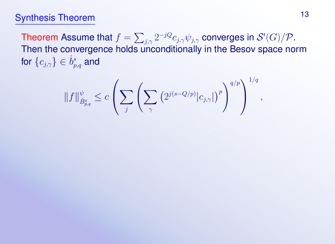# Synthesis Theorem 13

Theorem Assume that  $f=\sum_{j,\gamma}2^{-jQ}c_{j,\gamma}\psi_{j,\gamma}$  converges in  $\mathcal{S}'(G)/\mathcal{P}.$ Then the convergence holds unconditionally in the Besov space norm for  $\{c_{j,\gamma}\}\in \dot{b}^s_{p,q}$  and

$$
\|f\|_{\dot{B}^s_{p,q}}^{\psi} \leq c \left( \sum_j \left( \sum_{\gamma} \left( 2^{j(s-Q/p)} |c_{j,\gamma}| \right)^p \right)^{q/p} \right)^{1/q},
$$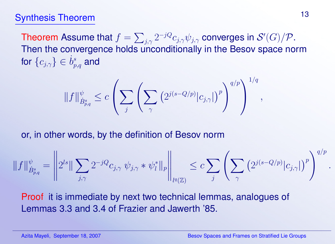### Synthesis Theorem 13

Theorem Assume that  $f=\sum_{j,\gamma}2^{-jQ}c_{j,\gamma}\psi_{j,\gamma}$  converges in  $\mathcal{S}'(G)/\mathcal{P}.$ Then the convergence holds unconditionally in the Besov space norm for  $\{c_{j,\gamma}\}\in \dot{b}^s_{p,q}$  and

$$
||f||_{\dot{B}^s_{p,q}}^{\psi} \leq c \left( \sum_j \left( \sum_{\gamma} \left( 2^{j(s-Q/p)} |c_{j,\gamma}| \right)^p \right)^{q/p} \right)^{1/q},
$$

or, in other words, by the definition of Besov norm

$$
\|f\|_{\dot{B}^s_{p,q}}^{\psi} = \left\|2^{ls}\|\sum_{j,\gamma}2^{-jQ}c_{j,\gamma}\,\psi_{j,\gamma}*\psi_l^*\|_p\right\|_{l^q(\mathbb{Z})}\leq c\sum_j\left(\sum_{\gamma}\left(2^{j(s-Q/p)}|c_{j,\gamma}|\right)^p\right)^{q/p}
$$

Proof it is immediate by next two technical lemmas, analogues of Lemmas 3.3 and 3.4 of Frazier and Jawerth '85.

.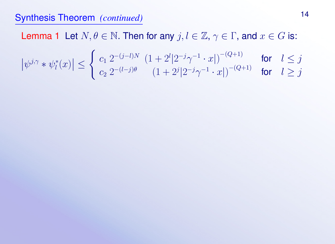### Synthesis Theorem *(continued)* <sup>14</sup>

Lemma 1 Let  $N, \theta \in \mathbb{N}$ . Then for any  $j, l \in \mathbb{Z}, \gamma \in \Gamma$ , and  $x \in G$  is:  $\psi^{j,\gamma} * \psi^*_l$  $\vert l^*(x)\vert\leq$  $\int c_1 \ 2^{-(j-l)N} \ (1+2^l|2^{-j}\gamma^{-1} \cdot x|)^{-(Q+1)}$  for  $l \leq j$  $c_2 \ 2^{-(l-j)\theta} \hspace{0.5cm} (1+2^j|2^{-j}\gamma^{-1}\cdot x|)^{-(Q+1)}$  for  $l\geq j$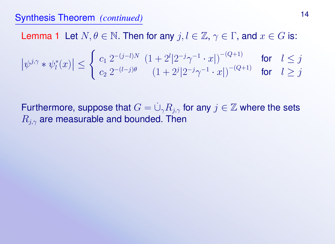## Synthesis Theorem *(continued)* <sup>14</sup>

Lemma 1 Let  $N, \theta \in \mathbb{N}$ . Then for any  $j, l \in \mathbb{Z}, \gamma \in \Gamma$ , and  $x \in G$  is:  $\psi^{j,\gamma} * \psi^*_l$  $\vert l^*(x)\vert\leq$  $\int c_1 \ 2^{-(j-l)N} \ (1+2^l|2^{-j}\gamma^{-1} \cdot x|)^{-(Q+1)}$  for  $l \leq j$  $c_2 \ 2^{-(l-j)\theta} \hspace{0.5cm} (1+2^j|2^{-j}\gamma^{-1}\cdot x|)^{-(Q+1)}$  for  $l\geq j$ 

Furthermore, suppose that  $G = \dot{\cup}_\gamma R_{j,\gamma}$  for any  $j \in \mathbb{Z}$  where the sets  $R_{i\gamma}$  are measurable and bounded. Then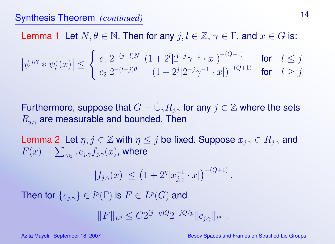### Synthesis Theorem *(continued)* <sup>14</sup>

Lemma 1 Let  $N, \theta \in \mathbb{N}$ . Then for any  $j, l \in \mathbb{Z}, \gamma \in \Gamma$ , and  $x \in G$  is:  $\psi^{j,\gamma} * \psi^*_l$  $\vert l^*(x)\vert\leq$  $\int c_1 \ 2^{-(j-l)N} \ (1+2^l|2^{-j}\gamma^{-1} \cdot x|)^{-(Q+1)}$  for  $l \leq j$  $c_2 2^{-(l-j)\theta}$   $(1+2^j|2^{-j}\gamma^{-1} \cdot x|)$ for  $l > j$ 

Furthermore, suppose that  $G = \dot{\cup}_\gamma R_{j,\gamma}$  for any  $j \in \mathbb{Z}$  where the sets  $R_{i\gamma}$  are measurable and bounded. Then

Lemma 2 Let  $\eta, j \in \mathbb{Z}$  with  $\eta \leq j$  be fixed. Suppose  $x_{i,\gamma} \in R_{i,\gamma}$  and  $F(x)=\sum_{\gamma\in\Gamma}c_{j,\gamma}f_{j,\gamma}(x)$ , where

$$
|f_{j,\gamma}(x)| \le (1 + 2^{\eta}|x_{j,\gamma}^{-1} \cdot x|)^{-(Q+1)}
$$

Then for  $\{c_{j,\gamma}\}\in l^p(\Gamma)$  is  $F\in L^p(G)$  and

$$
||F||_{L^p} \leq C2^{(j-\eta)Q} 2^{-jQ/p} ||c_{j,\gamma}||_{l^p} .
$$

.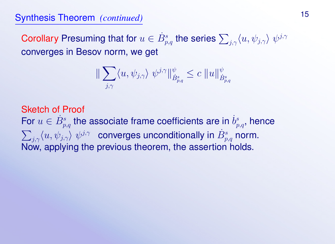Corollary Presuming that for  $u\in \dot{B}^s_{p,q}$  the series  $\sum_{j,\gamma}\langle u,\psi_{j,\gamma}\rangle\;\psi^{j,\gamma}$ converges in Besov norm, we get

$$
\|\sum_{j,\gamma}\langle u,\psi_{j,\gamma}\rangle\ \psi^{j,\gamma}\|_{\dot{B}^s_{p,q}}^{\psi}\leq c\ \|u\|_{\dot{B}^s_{p,q}}^{\psi}
$$

Sketch of Proof For  $u \in \dot{B}^s_{p,q}$  the associate frame coefficients are in  $\dot{b}^s_{p,q}$ , hence  $\sum_{j,\gamma} \langle u, \psi_{j,\gamma} \rangle \; \psi^{j,\gamma} \;$  converges unconditionally in  $\dot{B}^s_{p,q}$  norm. Now, applying the previous theorem, the assertion holds.